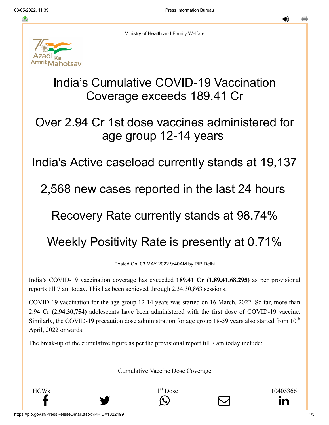≛

◀»



Ministry of Health and Family Welfare

# India's Cumulative COVID-19 Vaccination Coverage exceeds 189.41 Cr

## Over 2.94 Cr 1st dose vaccines administered for age group 12-14 years

## India's Active caseload currently stands at 19,137

#### 2,568 new cases reported in the last 24 hours

## Recovery Rate currently stands at 98.74%

# Weekly Positivity Rate is presently at 0.71%

Posted On: 03 MAY 2022 9:40AM by PIB Delhi

India's COVID-19 vaccination coverage has exceeded **189.41 Cr (1,89,41,68,295)** as per provisional reports till 7 am today. This has been achieved through 2,34,30,863 sessions.

COVID-19 vaccination for the age group 12-14 years was started on 16 March, 2022. So far, more than 2.94 Cr **(2,94,30,754)** adolescents have been administered with the first dose of COVID-19 vaccine. Similarly, the COVID-19 precaution dose administration for age group 18-59 years also started from  $10<sup>th</sup>$ April, 2022 onwards.

The break-up of the cumulative figure as per the provisional report till 7 am today include:

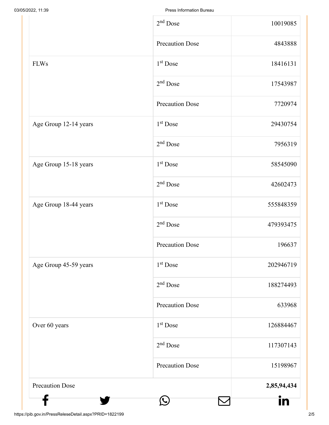|                        | $2nd$ Dose             | 10019085    |
|------------------------|------------------------|-------------|
|                        | <b>Precaution Dose</b> | 4843888     |
| <b>FLWs</b>            | 1 <sup>st</sup> Dose   | 18416131    |
|                        | $2nd$ Dose             | 17543987    |
|                        | <b>Precaution Dose</b> | 7720974     |
| Age Group 12-14 years  | $1st$ Dose             | 29430754    |
|                        | $2nd$ Dose             | 7956319     |
| Age Group 15-18 years  | 1 <sup>st</sup> Dose   | 58545090    |
|                        | $2nd$ Dose             | 42602473    |
| Age Group 18-44 years  | 1 <sup>st</sup> Dose   | 555848359   |
|                        | $2nd$ Dose             | 479393475   |
|                        | <b>Precaution Dose</b> | 196637      |
| Age Group 45-59 years  | $1st$ Dose             | 202946719   |
|                        | $2nd$ Dose             | 188274493   |
|                        | <b>Precaution Dose</b> | 633968      |
| Over 60 years          | $1st$ Dose             | 126884467   |
|                        | $2nd$ Dose             | 117307143   |
|                        | <b>Precaution Dose</b> | 15198967    |
| <b>Precaution Dose</b> |                        | 2,85,94,434 |
|                        |                        | in          |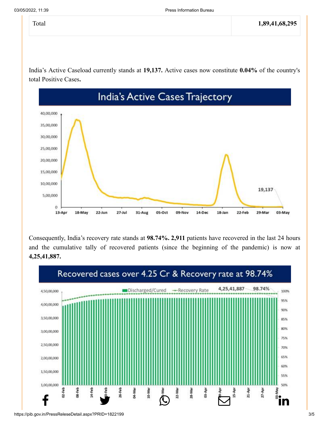India's Active Caseload currently stands at **19,137.** Active cases now constitute **0.04%** of the country's total Positive Cases**.**



Consequently, India's recovery rate stands at **98.74%. 2,911** patients have recovered in the last 24 hours and the cumulative tally of recovered patients (since the beginning of the pandemic) is now at **4,25,41,887.**

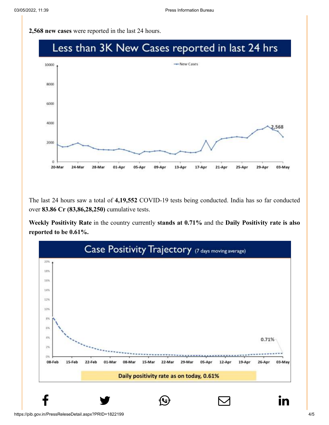**2,568 new cases** were reported in the last 24 hours.



The last 24 hours saw a total of **4,19,552** COVID-19 tests being conducted. India has so far conducted over **83.86 Cr (83,86,28,250)** cumulative tests.

**Weekly Positivity Rate** in the country currently **stands at 0.71%** and the **Daily Positivity rate is also reported to be 0.61%.**



 $\begin{array}{lllllll} \textbf{f} & \textbf{y} & \textbf{\textcircled{\tiny{0}}} & \textbf{\textcircled{\tiny{1}}} & \textbf{\textcircled{\tiny{1}}} \end{array}$